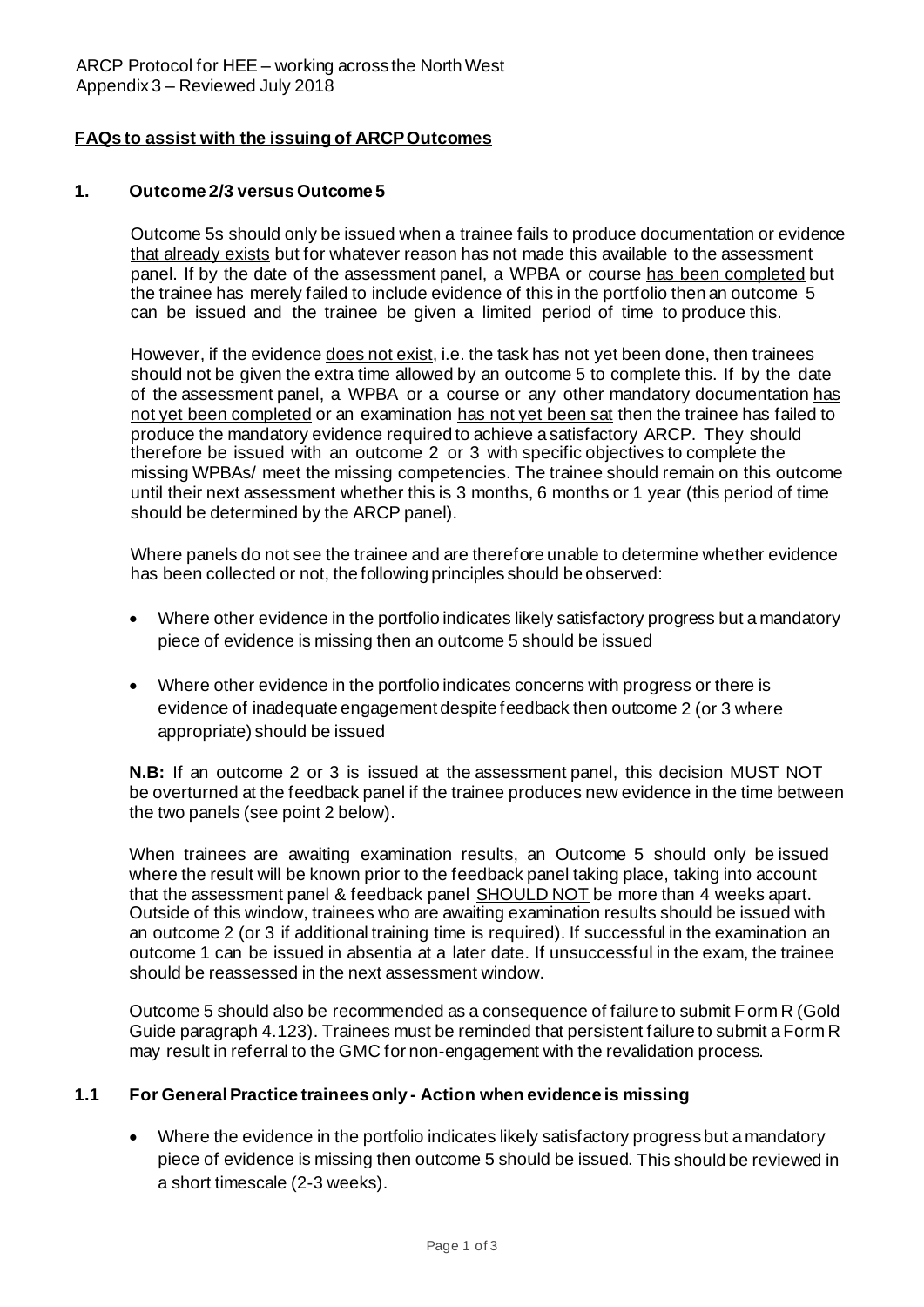# **FAQs to assist with the issuing of ARCPOutcomes**

### **1. Outcome 2/3 versus Outcome 5**

Outcome 5s should only be issued when a trainee fails to produce documentation or evidence that already exists but for whatever reason has not made this available to the assessment panel. If by the date of the assessment panel, a WPBA or course has been completed but the trainee has merely failed to include evidence of this in the portfolio then an outcome 5 can be issued and the trainee be given a limited period of time to produce this.

However, if the evidence does not exist, i.e. the task has not yet been done, then trainees should not be given the extra time allowed by an outcome 5 to complete this. If by the date of the assessment panel, a WPBA or a course or any other mandatory documentation has not yet been completed or an examination has not yet been sat then the trainee has failed to produce the mandatory evidence required to achieve a satisfactory ARCP. They should therefore be issued with an outcome 2 or 3 with specific objectives to complete the missing WPBAs/ meet the missing competencies. The trainee should remain on this outcome until their next assessment whether this is 3 months, 6 months or 1 year (this period of time should be determined by the ARCP panel).

Where panels do not see the trainee and are therefore unable to determine whether evidence has been collected or not, the following principles should be observed:

- Where other evidence in the portfolio indicates likely satisfactory progress but a mandatory piece of evidence is missing then an outcome 5 should be issued
- Where other evidence in the portfolio indicates concerns with progress or there is evidence of inadequate engagement despite feedback then outcome 2 (or 3 where appropriate) should be issued

**N.B:** If an outcome 2 or 3 is issued at the assessment panel, this decision MUST NOT be overturned at the feedback panel if the trainee produces new evidence in the time between the two panels (see point 2 below).

When trainees are awaiting examination results, an Outcome 5 should only be issued where the result will be known prior to the feedback panel taking place, taking into account that the assessment panel & feedback panel SHOULD NOT be more than 4 weeks apart. Outside of this window, trainees who are awaiting examination results should be issued with an outcome 2 (or 3 if additional training time is required). If successful in the examination an outcome 1 can be issued in absentia at a later date. If unsuccessful in the exam, the trainee should be reassessed in the next assessment window.

Outcome 5 should also be recommended as a consequence of failure to submit Form R (Gold Guide paragraph 4.123). Trainees must be reminded that persistent failure to submit a Form R may result in referral to the GMC for non-engagement with the revalidation process.

# **1.1 For GeneralPractice trainees only - Action when evidence is missing**

• Where the evidence in the portfolio indicates likely satisfactory progress but a mandatory piece of evidence is missing then outcome 5 should be issued. This should be reviewed in a short timescale (2-3 weeks).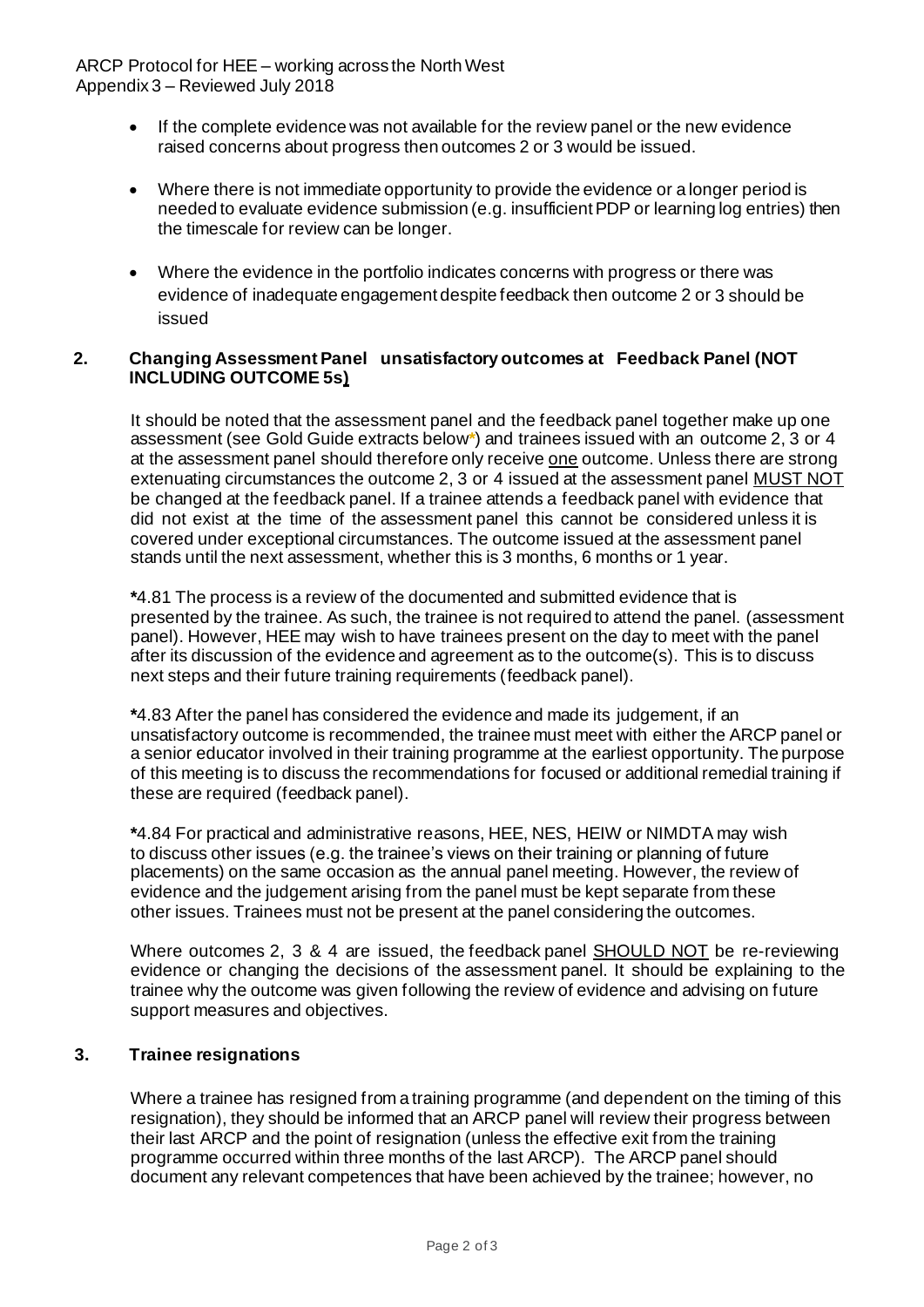- If the complete evidence was not available for the review panel or the new evidence raised concerns about progress then outcomes 2 or 3 would be issued.
- Where there is not immediate opportunity to provide the evidence or a longer period is needed to evaluate evidence submission (e.g. insufficient PDP or learning log entries) then the timescale for review can be longer.
- Where the evidence in the portfolio indicates concerns with progress or there was evidence of inadequate engagement despite feedback then outcome 2 or 3 should be issued

# **2. Changing Assessment Panel unsatisfactory outcomes at Feedback Panel (NOT INCLUDING OUTCOME 5s)**

It should be noted that the assessment panel and the feedback panel together make up one assessment (see Gold Guide extracts below**\***) and trainees issued with an outcome 2, 3 or 4 at the assessment panel should therefore only receive one outcome. Unless there are strong extenuating circumstances the outcome 2, 3 or 4 issued at the assessment panel MUST NOT be changed at the feedback panel. If a trainee attends a feedback panel with evidence that did not exist at the time of the assessment panel this cannot be considered unless it is covered under exceptional circumstances. The outcome issued at the assessment panel stands until the next assessment, whether this is 3 months, 6 months or 1 year.

**\***4.81 The process is a review of the documented and submitted evidence that is presented by the trainee. As such, the trainee is not required to attend the panel. (assessment panel). However, HEE may wish to have trainees present on the day to meet with the panel after its discussion of the evidence and agreement as to the outcome(s). This is to discuss next steps and their future training requirements (feedback panel).

**\***4.83 After the panel has considered the evidence and made its judgement, if an unsatisfactory outcome is recommended, the trainee must meet with either the ARCP panel or a senior educator involved in their training programme at the earliest opportunity. The purpose of this meeting is to discuss the recommendations for focused or additional remedial training if these are required (feedback panel).

**\***4.84 For practical and administrative reasons, HEE, NES, HEIW or NIMDTA may wish to discuss other issues (e.g. the trainee's views on their training or planning of future placements) on the same occasion as the annual panel meeting. However, the review of evidence and the judgement arising from the panel must be kept separate from these other issues. Trainees must not be present at the panel considering the outcomes.

Where outcomes 2, 3 & 4 are issued, the feedback panel SHOULD NOT be re-reviewing evidence or changing the decisions of the assessment panel. It should be explaining to the trainee why the outcome was given following the review of evidence and advising on future support measures and objectives.

# **3. Trainee resignations**

Where a trainee has resigned from a training programme (and dependent on the timing of this resignation), they should be informed that an ARCP panel will review their progress between their last ARCP and the point of resignation (unless the effective exit from the training programme occurred within three months of the last ARCP). The ARCP panel should document any relevant competences that have been achieved by the trainee; however, no